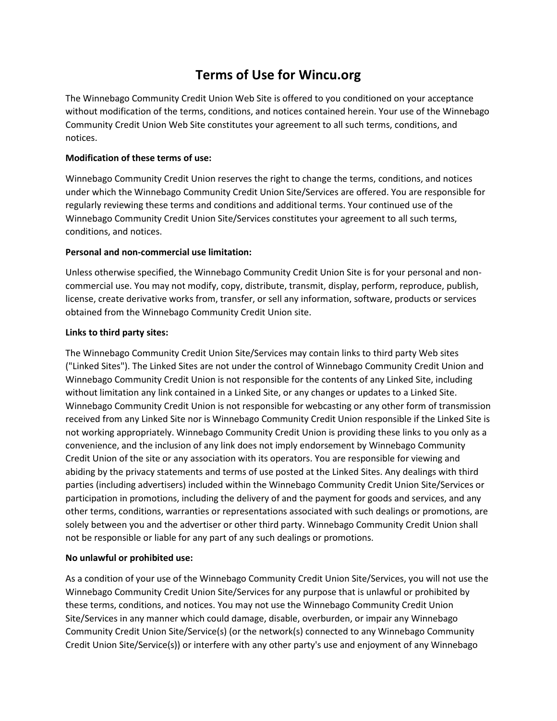# **Terms of Use for Wincu.org**

The Winnebago Community Credit Union Web Site is offered to you conditioned on your acceptance without modification of the terms, conditions, and notices contained herein. Your use of the Winnebago Community Credit Union Web Site constitutes your agreement to all such terms, conditions, and notices.

# **Modification of these terms of use:**

Winnebago Community Credit Union reserves the right to change the terms, conditions, and notices under which the Winnebago Community Credit Union Site/Services are offered. You are responsible for regularly reviewing these terms and conditions and additional terms. Your continued use of the Winnebago Community Credit Union Site/Services constitutes your agreement to all such terms, conditions, and notices.

## **Personal and non-commercial use limitation:**

Unless otherwise specified, the Winnebago Community Credit Union Site is for your personal and noncommercial use. You may not modify, copy, distribute, transmit, display, perform, reproduce, publish, license, create derivative works from, transfer, or sell any information, software, products or services obtained from the Winnebago Community Credit Union site.

## **Links to third party sites:**

The Winnebago Community Credit Union Site/Services may contain links to third party Web sites ("Linked Sites"). The Linked Sites are not under the control of Winnebago Community Credit Union and Winnebago Community Credit Union is not responsible for the contents of any Linked Site, including without limitation any link contained in a Linked Site, or any changes or updates to a Linked Site. Winnebago Community Credit Union is not responsible for webcasting or any other form of transmission received from any Linked Site nor is Winnebago Community Credit Union responsible if the Linked Site is not working appropriately. Winnebago Community Credit Union is providing these links to you only as a convenience, and the inclusion of any link does not imply endorsement by Winnebago Community Credit Union of the site or any association with its operators. You are responsible for viewing and abiding by the privacy statements and terms of use posted at the Linked Sites. Any dealings with third parties (including advertisers) included within the Winnebago Community Credit Union Site/Services or participation in promotions, including the delivery of and the payment for goods and services, and any other terms, conditions, warranties or representations associated with such dealings or promotions, are solely between you and the advertiser or other third party. Winnebago Community Credit Union shall not be responsible or liable for any part of any such dealings or promotions.

# **No unlawful or prohibited use:**

As a condition of your use of the Winnebago Community Credit Union Site/Services, you will not use the Winnebago Community Credit Union Site/Services for any purpose that is unlawful or prohibited by these terms, conditions, and notices. You may not use the Winnebago Community Credit Union Site/Services in any manner which could damage, disable, overburden, or impair any Winnebago Community Credit Union Site/Service(s) (or the network(s) connected to any Winnebago Community Credit Union Site/Service(s)) or interfere with any other party's use and enjoyment of any Winnebago